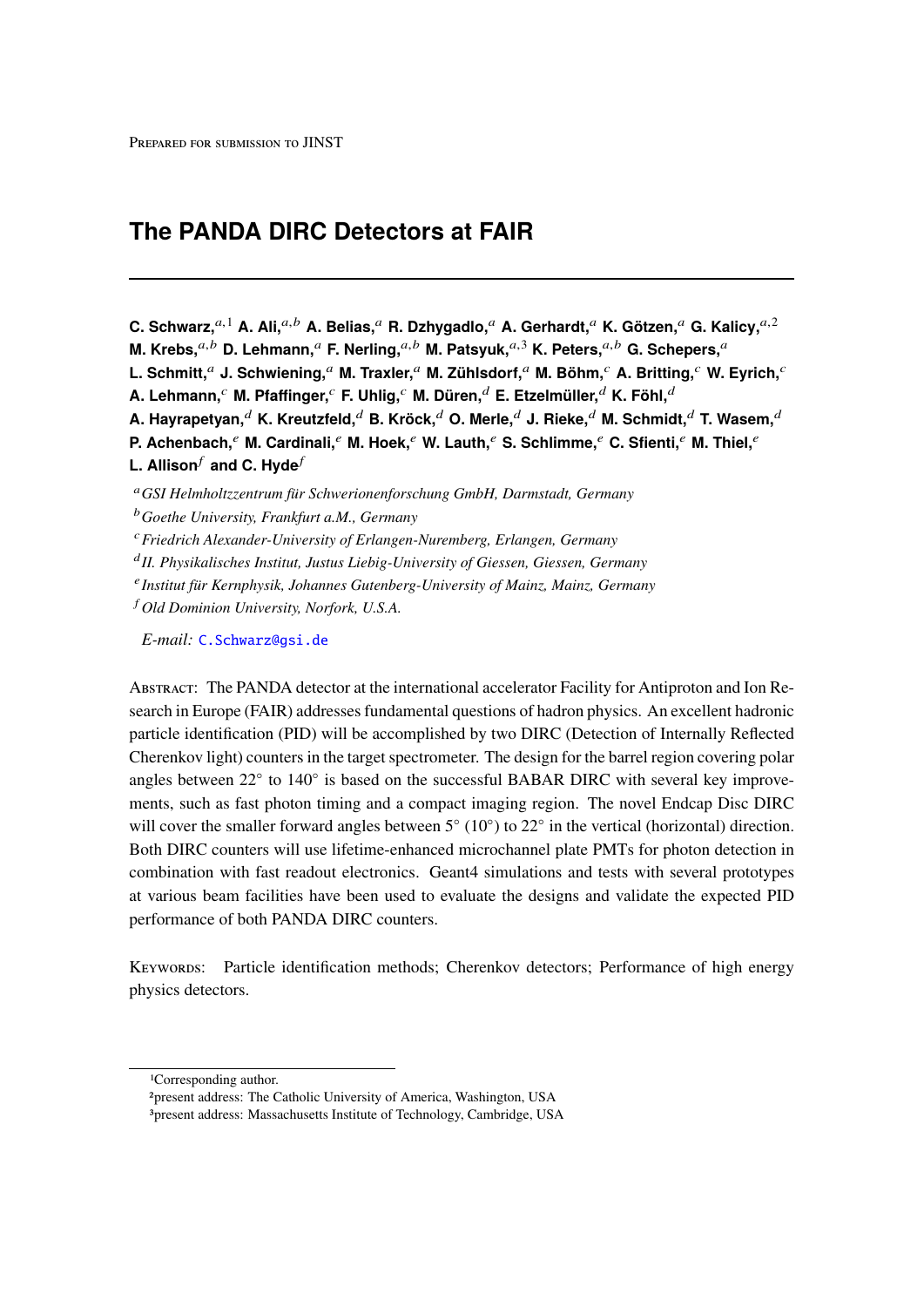# **The PANDA DIRC Detectors at FAIR**

**C. Schwarz,**a,<sup>1</sup> **A. Ali,**a,<sup>b</sup> **A. Belias,**<sup>a</sup> **R. Dzhygadlo,**<sup>a</sup> **A. Gerhardt,**<sup>a</sup> **K. Götzen,**<sup>a</sup> **G. Kalicy,**a,<sup>2</sup>

**M. Krebs.**<sup>a,b</sup> **D. Lehmann.**<sup>a</sup> **F. Nerling.**<sup>a,b</sup> **M. Patsyuk.**<sup>a,3</sup> **K. Peters.**<sup>a,b</sup> **G. Schepers.**<sup>a</sup>

**L. Schmitt,**<sup>a</sup> **J. Schwiening,**<sup>a</sup> **M. Traxler,**<sup>a</sup> **M. Zühlsdorf,**<sup>a</sup> **M. Böhm,**<sup>c</sup> **A. Britting,**<sup>c</sup> **W. Eyrich,**<sup>c</sup>

**A. Lehmann,**<sup>c</sup> **M. Pfaffinger,**<sup>c</sup> **F. Uhlig,**<sup>c</sup> **M. Düren,**<sup>d</sup> **E. Etzelmüller,**<sup>d</sup> **K. Föhl,**<sup>d</sup>

**A. Hayrapetyan,**<sup>d</sup> **K. Kreutzfeld,**<sup>d</sup> **B. Kröck,**<sup>d</sup> **O. Merle,**<sup>d</sup> **J. Rieke,**<sup>d</sup> **M. Schmidt,**<sup>d</sup> **T. Wasem,**<sup>d</sup>

**P. Achenbach,**<sup>e</sup> **M. Cardinali,**<sup>e</sup> **M. Hoek,**<sup>e</sup> **W. Lauth,**<sup>e</sup> S. Schlimme,<sup>e</sup> C. Sfienti,<sup>e</sup> M. Thiel,<sup>e</sup>

**L. Allison**<sup>f</sup> and C. Hyde<sup>*f*</sup>

<sup>c</sup>*Friedrich Alexander-University of Erlangen-Nuremberg, Erlangen, Germany*

d *II. Physikalisches Institut, Justus Liebig-University of Giessen, Giessen, Germany*

e *Institut für Kernphysik, Johannes Gutenberg-University of Mainz, Mainz, Germany*

<sup>f</sup> *Old Dominion University, Norfork, U.S.A.*

*E-mail:* [C.Schwarz@gsi.de](mailto:C.Schwarz@gsi.de)

Abstract: The PANDA detector at the international accelerator Facility for Antiproton and Ion Research in Europe (FAIR) addresses fundamental questions of hadron physics. An excellent hadronic particle identification (PID) will be accomplished by two DIRC (Detection of Internally Reflected Cherenkov light) counters in the target spectrometer. The design for the barrel region covering polar angles between 22° to 140° is based on the successful BABAR DIRC with several key improvements, such as fast photon timing and a compact imaging region. The novel Endcap Disc DIRC will cover the smaller forward angles between  $5^{\circ}$  (10 $^{\circ}$ ) to 22 $^{\circ}$  in the vertical (horizontal) direction. Both DIRC counters will use lifetime-enhanced microchannel plate PMTs for photon detection in combination with fast readout electronics. Geant4 simulations and tests with several prototypes at various beam facilities have been used to evaluate the designs and validate the expected PID performance of both PANDA DIRC counters.

Keywords: Particle identification methods; Cherenkov detectors; Performance of high energy physics detectors.

<sup>a</sup>*GSI Helmholtzzentrum für Schwerionenforschung GmbH, Darmstadt, Germany* <sup>b</sup>*Goethe University, Frankfurt a.M., Germany*

<sup>1</sup>Corresponding author.

<sup>2</sup>present address: The Catholic University of America, Washington, USA

<sup>3</sup>present address: Massachusetts Institute of Technology, Cambridge, USA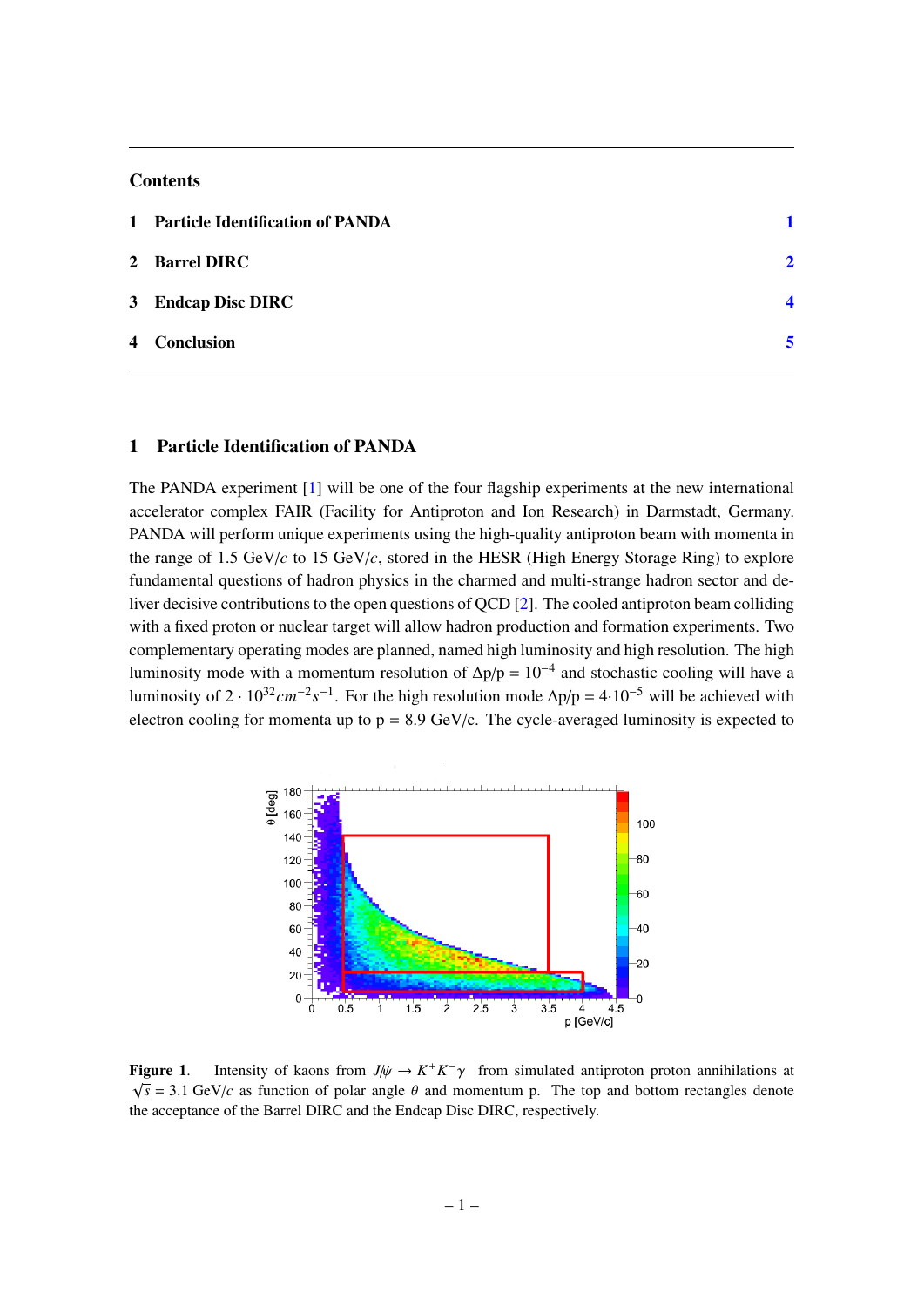#### **Contents**

| 1 Particle Identification of PANDA |               |
|------------------------------------|---------------|
| 2 Barrel DIRC                      | $\mathcal{P}$ |
| 3 Endcap Disc DIRC                 | Δ             |
| 4 Conclusion                       |               |

#### <span id="page-1-0"></span>1 Particle Identification of PANDA

The PANDA experiment  $[1]$  will be one of the four flagship experiments at the new international accelerator complex FAIR (Facility for Antiproton and Ion Research) in Darmstadt, Germany. PANDA will perform unique experiments using the high-quality antiproton beam with momenta in the range of 1.5 GeV/ $c$  to 15 GeV/ $c$ , stored in the HESR (High Energy Storage Ring) to explore fundamental questions of hadron physics in the charmed and multi-strange hadron sector and deliver decisive contributions to the open questions of QCD [\[2\]](#page-6-1). The cooled antiproton beam colliding with a fixed proton or nuclear target will allow hadron production and formation experiments. Two complementary operating modes are planned, named high luminosity and high resolution. The high luminosity mode with a momentum resolution of  $\Delta p/p = 10^{-4}$  and stochastic cooling will have a luminosity of  $2 \cdot 10^{32}$  *cm*<sup>−2</sup>s<sup>−1</sup>. For the high resolution mode  $\Delta p/p = 4 \cdot 10^{-5}$  will be achieved with electron cooling for momenta up to  $p = 8.9$  GeV/c. The cycle-averaged luminosity is expected to



<span id="page-1-1"></span>**Figure 1.** Intensity of kaons from *J*/ $\psi \to K^+K^-\gamma$  from simulated antiproton proton annihilations at  $\sqrt{6} = 3.1 \text{ GeV}/a$  as function of polar angle *0* and momentum p. The ten and better rectangles denotes  $\sqrt{s}$  = 3.1 GeV/*c* as function of polar angle  $\theta$  and momentum p. The top and bottom rectangles denote the acceptance of the Barrel DIRC and the Endcap Disc DIRC, respectively.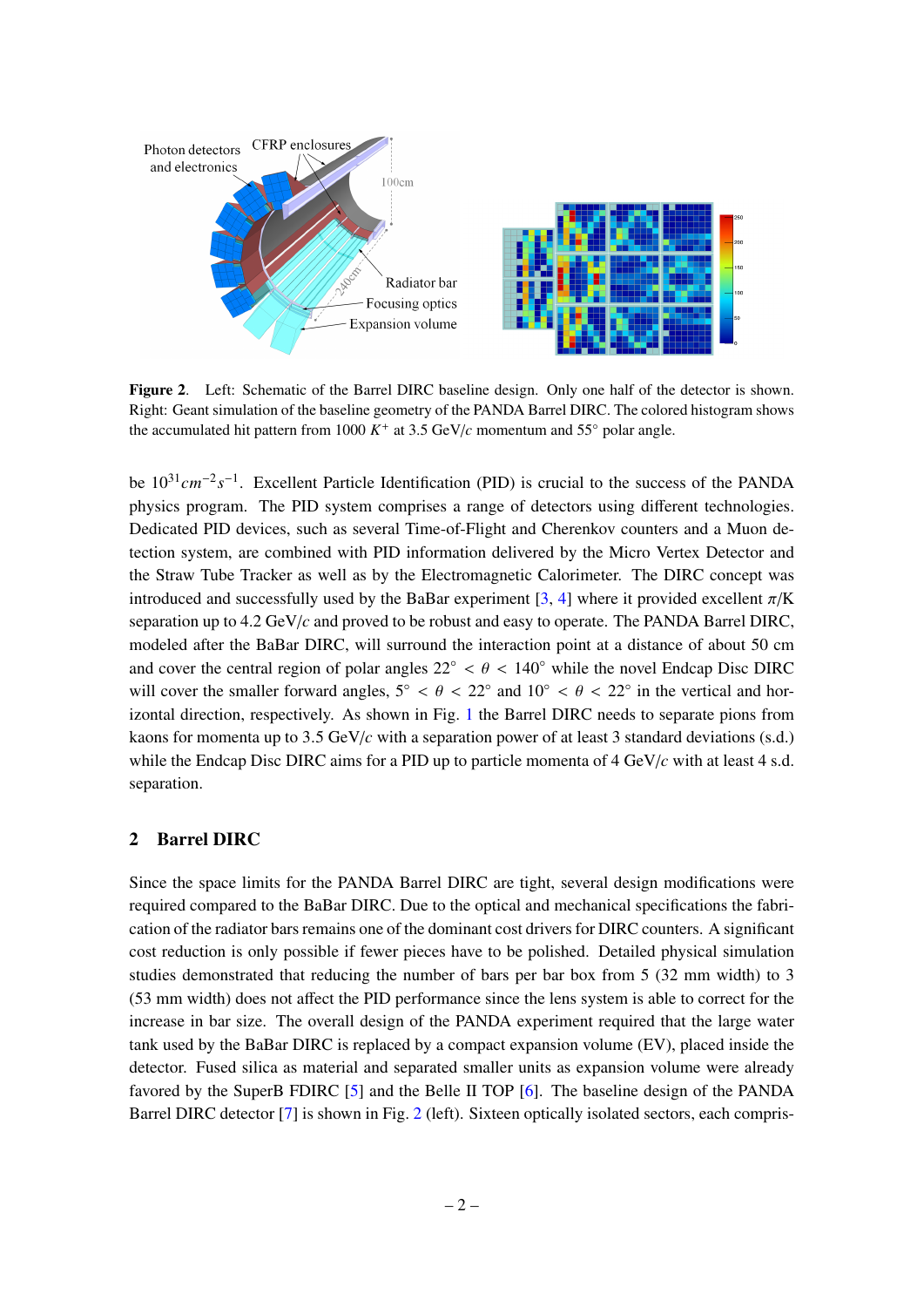

<span id="page-2-1"></span>Figure 2. Left: Schematic of the Barrel DIRC baseline design. Only one half of the detector is shown. Right: Geant simulation of the baseline geometry of the PANDA Barrel DIRC. The colored histogram shows the accumulated hit pattern from 1000  $K^+$  at 3.5 GeV/ $c$  momentum and 55 $\degree$  polar angle.

be 10<sup>31</sup> cm<sup>-2</sup>s<sup>-1</sup>. Excellent Particle Identification (PID) is crucial to the success of the PANDA physics program. The PID system comprises a range of detectors using different technologies. Dedicated PID devices, such as several Time-of-Flight and Cherenkov counters and a Muon detection system, are combined with PID information delivered by the Micro Vertex Detector and the Straw Tube Tracker as well as by the Electromagnetic Calorimeter. The DIRC concept was introduced and successfully used by the BaBar experiment [\[3,](#page-6-2) [4\]](#page-6-3) where it provided excellent  $\pi/K$ separation up to 4.2 GeV/*c* and proved to be robust and easy to operate. The PANDA Barrel DIRC, modeled after the BaBar DIRC, will surround the interaction point at a distance of about 50 cm and cover the central region of polar angles  $22° < \theta < 140°$  while the novel Endcap Disc DIRC will cover the smaller forward angles,  $5° < \theta < 22°$  and  $10° < \theta < 22°$  in the vertical and hor-<br>interacted direction recreatively. As shown in Fig. 1 the Bernal DIPC peeds to separate piece from izontal direction, respectively. As shown in Fig. [1](#page-1-1) the Barrel DIRC needs to separate pions from kaons for momenta up to 3.5 GeV/*<sup>c</sup>* with a separation power of at least 3 standard deviations (s.d.) while the Endcap Disc DIRC aims for a PID up to particle momenta of 4 GeV/*c* with at least 4 s.d. separation.

### <span id="page-2-0"></span>2 Barrel DIRC

Since the space limits for the PANDA Barrel DIRC are tight, several design modifications were required compared to the BaBar DIRC. Due to the optical and mechanical specifications the fabrication of the radiator bars remains one of the dominant cost drivers for DIRC counters. A significant cost reduction is only possible if fewer pieces have to be polished. Detailed physical simulation studies demonstrated that reducing the number of bars per bar box from 5 (32 mm width) to 3 (53 mm width) does not affect the PID performance since the lens system is able to correct for the increase in bar size. The overall design of the PANDA experiment required that the large water tank used by the BaBar DIRC is replaced by a compact expansion volume (EV), placed inside the detector. Fused silica as material and separated smaller units as expansion volume were already favored by the SuperB FDIRC [\[5\]](#page-6-4) and the Belle II TOP [\[6\]](#page-6-5). The baseline design of the PANDA Barrel DIRC detector [\[7\]](#page-6-6) is shown in Fig. [2](#page-2-1) (left). Sixteen optically isolated sectors, each compris-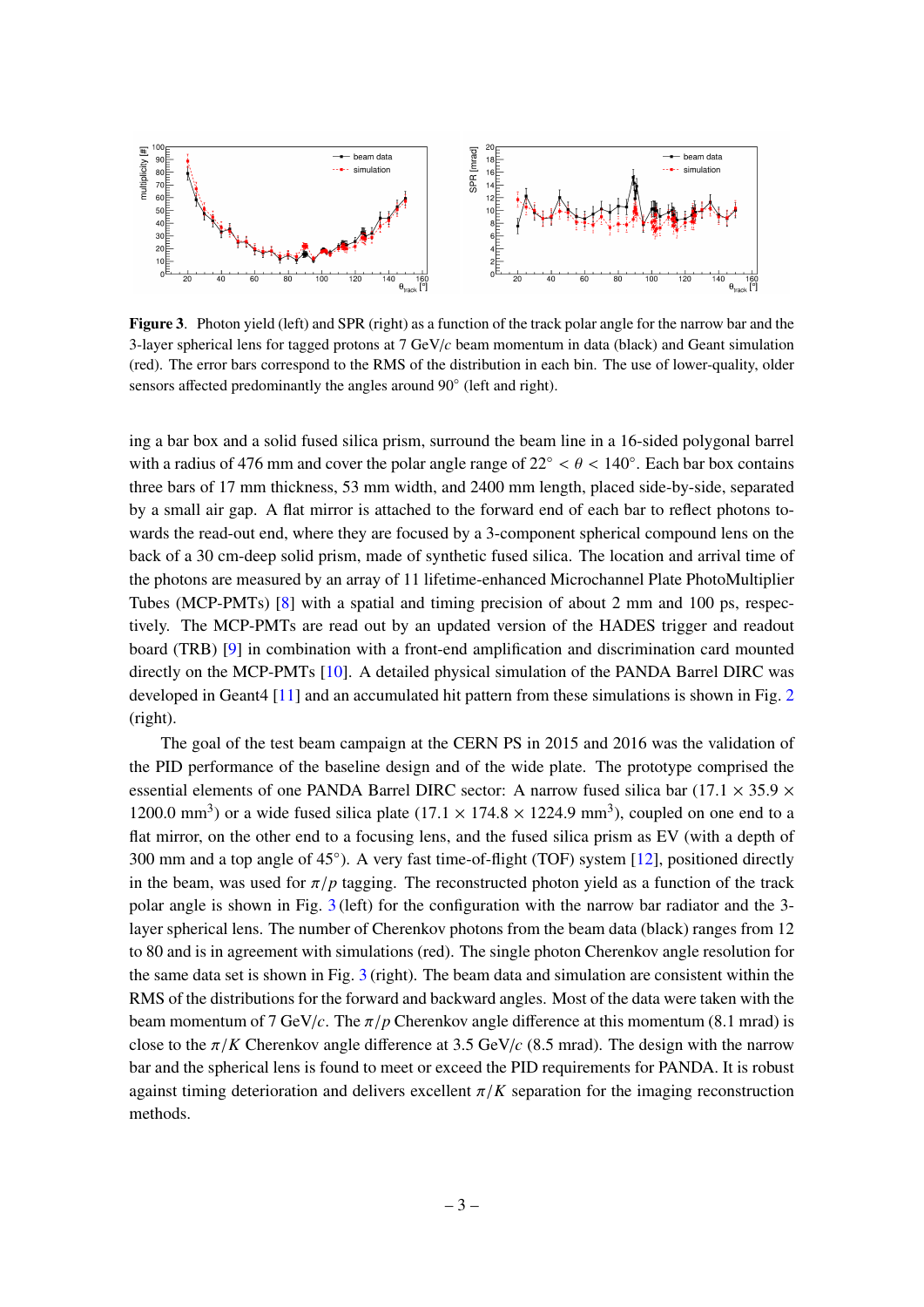

<span id="page-3-0"></span>Figure 3. Photon yield (left) and SPR (right) as a function of the track polar angle for the narrow bar and the 3-layer spherical lens for tagged protons at 7 GeV/*c* beam momentum in data (black) and Geant simulation (red). The error bars correspond to the RMS of the distribution in each bin. The use of lower-quality, older sensors affected predominantly the angles around 90° (left and right).

ing a bar box and a solid fused silica prism, surround the beam line in a 16-sided polygonal barrel with a radius of 476 mm and cover the polar angle range of  $22° < \theta < 140°$ . Each bar box contains three here of 17 mm thielmess 52 mm width and 2400 mm langth placed side by side concreted three bars of 17 mm thickness, 53 mm width, and 2400 mm length, placed side-by-side, separated by a small air gap. A flat mirror is attached to the forward end of each bar to reflect photons towards the read-out end, where they are focused by a 3-component spherical compound lens on the back of a 30 cm-deep solid prism, made of synthetic fused silica. The location and arrival time of the photons are measured by an array of 11 lifetime-enhanced Microchannel Plate PhotoMultiplier Tubes (MCP-PMTs) [\[8\]](#page-6-7) with a spatial and timing precision of about 2 mm and 100 ps, respectively. The MCP-PMTs are read out by an updated version of the HADES trigger and readout board (TRB) [\[9\]](#page-6-8) in combination with a front-end amplification and discrimination card mounted directly on the MCP-PMTs [\[10\]](#page-6-9). A detailed physical simulation of the PANDA Barrel DIRC was developed in Geant4 [\[11\]](#page-6-10) and an accumulated hit pattern from these simulations is shown in Fig. [2](#page-2-1) (right).

The goal of the test beam campaign at the CERN PS in 2015 and 2016 was the validation of the PID performance of the baseline design and of the wide plate. The prototype comprised the essential elements of one PANDA Barrel DIRC sector: A narrow fused silica bar (17.1  $\times$  35.9  $\times$ 1200.0 mm<sup>3</sup>) or a wide fused silica plate (17.1  $\times$  174.8  $\times$  1224.9 mm<sup>3</sup>), coupled on one end to a flat mirror, on the other end to a focusing lens, and the fused silica prism as EV (with a depth of 300 mm and a top angle of 45°). A very fast time-of-flight (TOF) system [\[12\]](#page-6-11), positioned directly in the beam, was used for  $\pi/p$  tagging. The reconstructed photon yield as a function of the track polar angle is shown in Fig. [3](#page-3-0) (left) for the configuration with the narrow bar radiator and the 3 layer spherical lens. The number of Cherenkov photons from the beam data (black) ranges from 12 to 80 and is in agreement with simulations (red). The single photon Cherenkov angle resolution for the same data set is shown in Fig. [3](#page-3-0) (right). The beam data and simulation are consistent within the RMS of the distributions for the forward and backward angles. Most of the data were taken with the beam momentum of 7 GeV/*c*. The  $\pi/p$  Cherenkov angle difference at this momentum (8.1 mrad) is close to the  $\pi/K$  Cherenkov angle difference at 3.5 GeV/*c* (8.5 mrad). The design with the narrow bar and the spherical lens is found to meet or exceed the PID requirements for PANDA. It is robust against timing deterioration and delivers excellent  $\pi/K$  separation for the imaging reconstruction methods.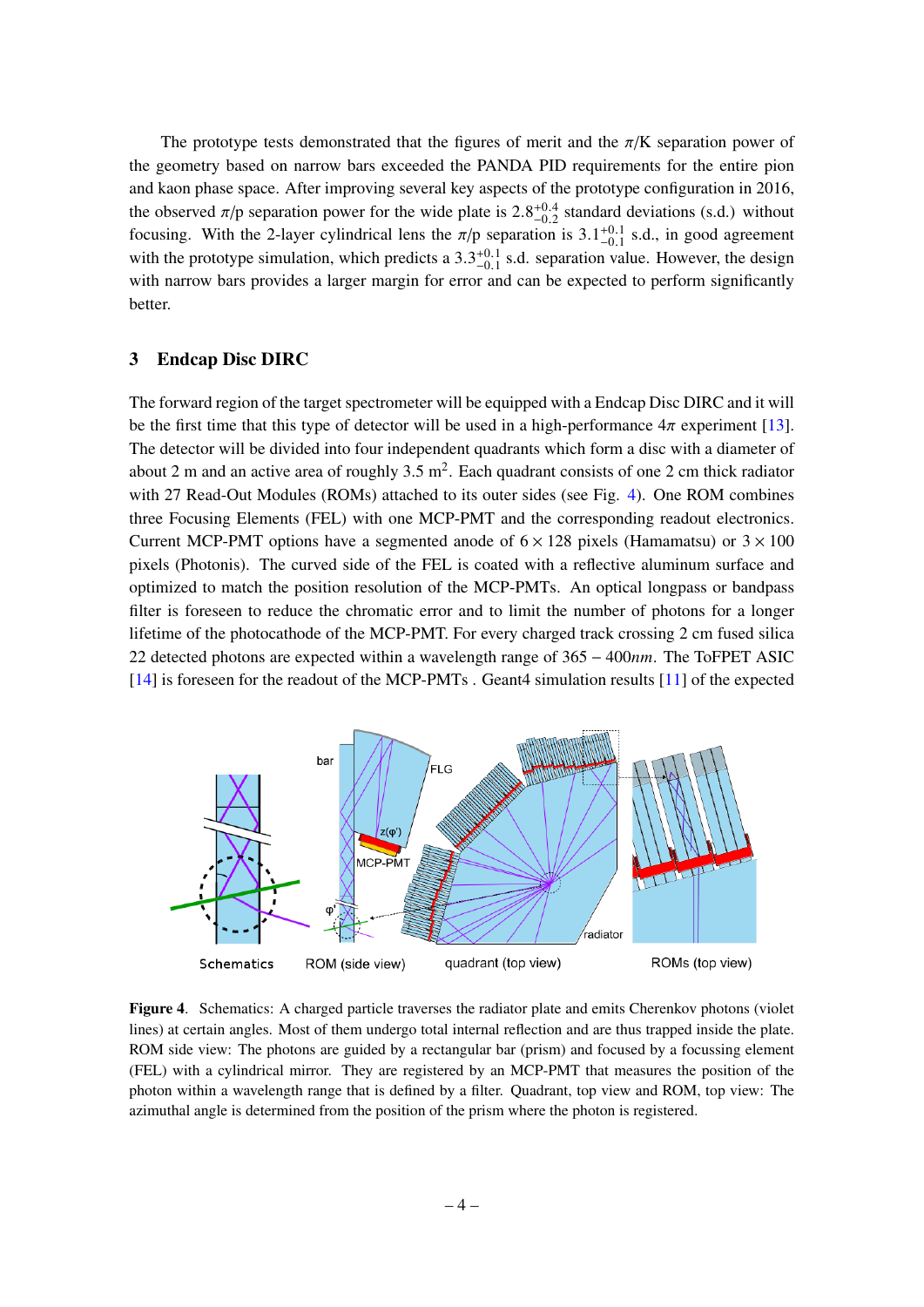The prototype tests demonstrated that the figures of merit and the  $\pi/K$  separation power of the geometry based on narrow bars exceeded the PANDA PID requirements for the entire pion and kaon phase space. After improving several key aspects of the prototype configuration in 2016, the observed  $\pi$ /p separation power for the wide plate is  $2.8^{+0.4}_{-0.2}$  standard deviations (s.d.) without focusing. With the 2 layer evindrical lans the  $\pi$ /p separation is 3 1<sup>+0.1</sup> s.d. in good agreement focusing. With the 2-layer cylindrical lens the  $\pi/p$  separation is 3.1<sup>+0.1</sup> s.d., in good agreement<br>with the prototype simulation, which prodicts a 3.<sup>2+0.1</sup> s.d. separation value. However, the design with the prototype simulation, which predicts a  $3.3^{+0.1}_{-0.1}$  s.d. separation value. However, the design<br>with parrow hars provides a larger margin for error and can be expected to perform significantly with narrow bars provides a larger margin for error and can be expected to perform significantly better.

#### <span id="page-4-0"></span>3 Endcap Disc DIRC

The forward region of the target spectrometer will be equipped with a Endcap Disc DIRC and it will be the first time that this type of detector will be used in a high-performance  $4\pi$  experiment [\[13\]](#page-6-12). The detector will be divided into four independent quadrants which form a disc with a diameter of about 2 m and an active area of roughly  $3.5 \text{ m}^2$ . Each quadrant consists of one 2 cm thick radiator with 27 Read-Out Modules (ROMs) attached to its outer sides (see Fig. [4\)](#page-4-1). One ROM combines three Focusing Elements (FEL) with one MCP-PMT and the corresponding readout electronics. Current MCP-PMT options have a segmented anode of  $6 \times 128$  pixels (Hamamatsu) or  $3 \times 100$ pixels (Photonis). The curved side of the FEL is coated with a reflective aluminum surface and optimized to match the position resolution of the MCP-PMTs. An optical longpass or bandpass filter is foreseen to reduce the chromatic error and to limit the number of photons for a longer lifetime of the photocathode of the MCP-PMT. For every charged track crossing 2 cm fused silica 22 detected photons are expected within a wavelength range of 365 − 400*nm*. The ToFPET ASIC [\[14\]](#page-6-13) is foreseen for the readout of the MCP-PMTs . Geant4 simulation results [\[11\]](#page-6-10) of the expected



<span id="page-4-1"></span>Figure 4. Schematics: A charged particle traverses the radiator plate and emits Cherenkov photons (violet lines) at certain angles. Most of them undergo total internal reflection and are thus trapped inside the plate. ROM side view: The photons are guided by a rectangular bar (prism) and focused by a focussing element (FEL) with a cylindrical mirror. They are registered by an MCP-PMT that measures the position of the photon within a wavelength range that is defined by a filter. Quadrant, top view and ROM, top view: The azimuthal angle is determined from the position of the prism where the photon is registered.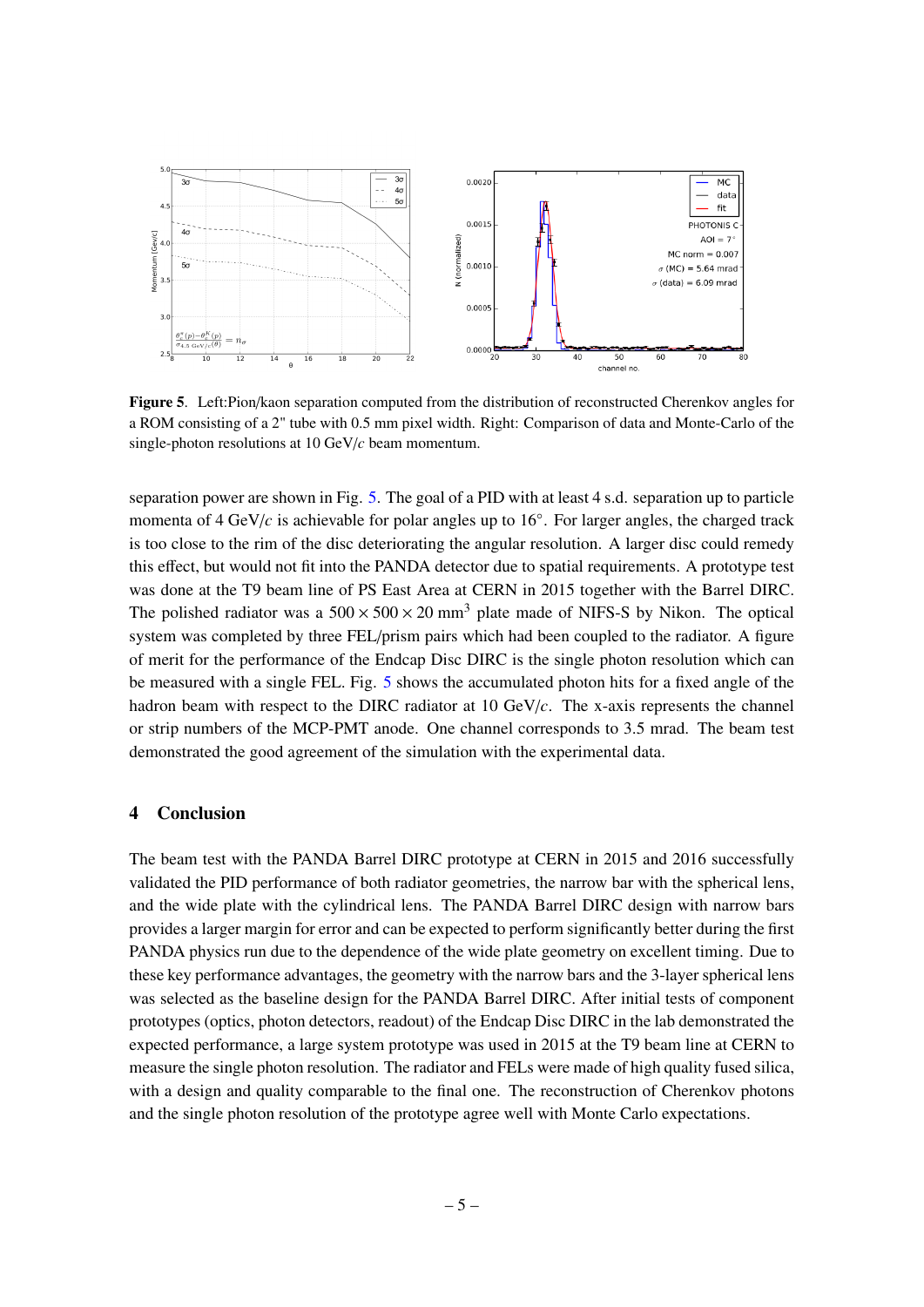

<span id="page-5-1"></span>Figure 5. Left:Pion/kaon separation computed from the distribution of reconstructed Cherenkov angles for a ROM consisting of a 2" tube with 0.5 mm pixel width. Right: Comparison of data and Monte-Carlo of the single-photon resolutions at 10 GeV/*c* beam momentum.

separation power are shown in Fig. [5.](#page-5-1) The goal of a PID with at least 4 s.d. separation up to particle momenta of 4 GeV/c is achievable for polar angles up to 16°. For larger angles, the charged track is too close to the rim of the disc deteriorating the angular resolution. A larger disc could remedy this effect, but would not fit into the PANDA detector due to spatial requirements. A prototype test was done at the T9 beam line of PS East Area at CERN in 2015 together with the Barrel DIRC. The polished radiator was a  $500 \times 500 \times 20$  mm<sup>3</sup> plate made of NIFS-S by Nikon. The optical system was completed by three FEL/prism pairs which had been coupled to the radiator. A figure of merit for the performance of the Endcap Disc DIRC is the single photon resolution which can be measured with a single FEL. Fig. [5](#page-5-1) shows the accumulated photon hits for a fixed angle of the hadron beam with respect to the DIRC radiator at 10 GeV/*c*. The x-axis represents the channel or strip numbers of the MCP-PMT anode. One channel corresponds to 3.5 mrad. The beam test demonstrated the good agreement of the simulation with the experimental data.

## <span id="page-5-0"></span>4 Conclusion

The beam test with the PANDA Barrel DIRC prototype at CERN in 2015 and 2016 successfully validated the PID performance of both radiator geometries, the narrow bar with the spherical lens, and the wide plate with the cylindrical lens. The PANDA Barrel DIRC design with narrow bars provides a larger margin for error and can be expected to perform significantly better during the first PANDA physics run due to the dependence of the wide plate geometry on excellent timing. Due to these key performance advantages, the geometry with the narrow bars and the 3-layer spherical lens was selected as the baseline design for the PANDA Barrel DIRC. After initial tests of component prototypes (optics, photon detectors, readout) of the Endcap Disc DIRC in the lab demonstrated the expected performance, a large system prototype was used in 2015 at the T9 beam line at CERN to measure the single photon resolution. The radiator and FELs were made of high quality fused silica, with a design and quality comparable to the final one. The reconstruction of Cherenkov photons and the single photon resolution of the prototype agree well with Monte Carlo expectations.